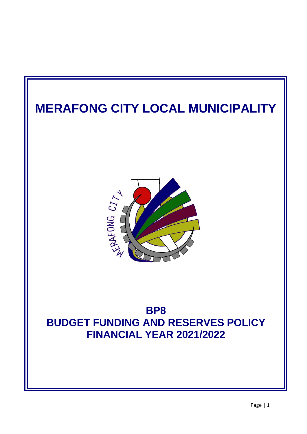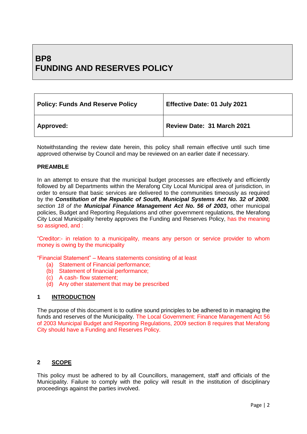# **BP8 FUNDING AND RESERVES POLICY**

| <b>Policy: Funds And Reserve Policy</b> | <b>Effective Date: 01 July 2021</b> |
|-----------------------------------------|-------------------------------------|
| Approved:                               | Review Date: 31 March 2021          |

Notwithstanding the review date herein, this policy shall remain effective until such time approved otherwise by Council and may be reviewed on an earlier date if necessary.

# **PREAMBLE**

In an attempt to ensure that the municipal budget processes are effectively and efficiently followed by all Departments within the Merafong City Local Municipal area of jurisdiction, in order to ensure that basic services are delivered to the communities timeously as required by the *Constitution of the Republic of South, Municipal Systems Act No. 32 of 2000, section 18 of the Municipal Finance Management Act No. 56 of 2003***,** other municipal policies, Budget and Reporting Regulations and other government regulations, the Merafong City Local Municipality hereby approves the Funding and Reserves Policy, has the meaning so assigned, and :

"Creditor:- in relation to a municipality, means any person or service provider to whom money is owing by the municipality

"Financial Statement" – Means statements consisting of at least

- (a) Statement of Financial performance;
- (b) Statement of financial performance;
- (c) A cash- flow statement;
- (d) Any other statement that may be prescribed

# **1 INTRODUCTION**

The purpose of this document is to outline sound principles to be adhered to in managing the funds and reserves of the Municipality. The Local Government: Finance Management Act 56 of 2003 Municipal Budget and Reporting Regulations, 2009 section 8 requires that Merafong City should have a Funding and Reserves Policy.

# **2 SCOPE**

This policy must be adhered to by all Councillors, management, staff and officials of the Municipality. Failure to comply with the policy will result in the institution of disciplinary proceedings against the parties involved.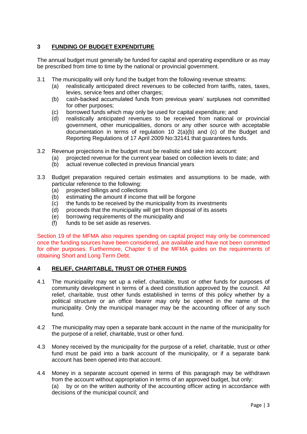# **3 FUNDING OF BUDGET EXPENDITURE**

The annual budget must generally be funded for capital and operating expenditure or as may be prescribed from time to time by the national or provincial government.

- 3.1 The municipality will only fund the budget from the following revenue streams:
	- (a) realistically anticipated direct revenues to be collected from tariffs, rates, taxes, levies, service fees and other charges;
	- (b) cash-backed accumulated funds from previous years' surpluses not committed for other purposes;
	- (c) borrowed funds which may only be used for capital expenditure; and
	- (d) realistically anticipated revenues to be received from national or provincial government, other municipalities, donors or any other source with acceptable documentation in terms of regulation 10 2(a)(b) and (c) of the Budget and Reporting Regulations of 17 April 2009 No:32141 that guarantees funds.
- 3.2 Revenue projections in the budget must be realistic and take into account:
	- (a) projected revenue for the current year based on collection levels to date; and
	- (b) actual revenue collected in previous financial years
- 3.3 Budget preparation required certain estimates and assumptions to be made, with particular reference to the following:
	- (a) projected billings and collections
	- (b) estimating the amount if income that will be forgone
	- (c) the funds to be received by the municipality from its investments
	- (d) proceeds that the municipality will get from disposal of its assets
	- (e) borrowing requirements of the municipality and
	- (f) funds to be set aside as reserves.

Section 19 of the MFMA also requires spending on capital project may only be commenced once the funding sources have been considered, are available and have not been committed for other purposes. Furthermore, Chapter 6 of the MFMA guides on the requirements of obtaining Short and Long Term Debt.

# **4 RELIEF, CHARITABLE, TRUST OR OTHER FUNDS**

- 4.1 The municipality may set up a relief, charitable, trust or other funds for purposes of community development in terms of a deed constitution approved by the council. All relief, charitable, trust other funds established in terms of this policy whether by a political structure or an office bearer may only be opened in the name of the municipality. Only the municipal manager may be the accounting officer of any such fund.
- 4.2 The municipality may open a separate bank account in the name of the municipality for the purpose of a relief, charitable, trust or other fund.
- 4.3 Money received by the municipality for the purpose of a relief, charitable, trust or other fund must be paid into a bank account of the municipality, or if a separate bank account has been opened into that account.
- 4.4 Money in a separate account opened in terms of this paragraph may be withdrawn from the account without appropriation in terms of an approved budget, but only:

(a) by or on the written authority of the accounting officer acting in accordance with decisions of the municipal council; and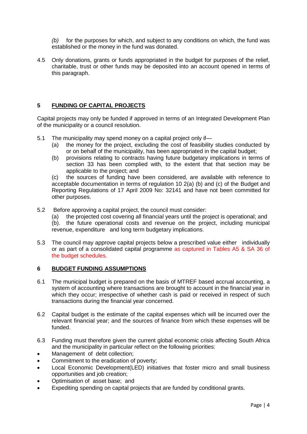*(b)* for the purposes for which, and subject to any conditions on which, the fund was established or the money in the fund was donated.

4.5 Only donations, grants or funds appropriated in the budget for purposes of the relief, charitable, trust or other funds may be deposited into an account opened in terms of this paragraph.

# **5 FUNDING OF CAPITAL PROJECTS**

Capital projects may only be funded if approved in terms of an Integrated Development Plan of the municipality or a council resolution.

- 5.1 The municipality may spend money on a capital project only if—
	- (a) the money for the project, excluding the cost of feasibility studies conducted by or on behalf of the municipality, has been appropriated in the capital budget;
	- (b) provisions relating to contracts having future budgetary implications in terms of section 33 has been complied with, to the extent that that section may be applicable to the project; and

(c) the sources of funding have been considered, are available with reference to acceptable documentation in terms of regulation 10 2(a) (b) and (c) of the Budget and Reporting Regulations of 17 April 2009 No: 32141 and have not been committed for other purposes.

- 5.2 Before approving a capital project, the council must consider:
	- (a) the projected cost covering all financial years until the project is operational; and
	- (b). the future operational costs and revenue on the project, including municipal revenue, expenditure and long term budgetary implications.
- 5.3 The council may approve capital projects below a prescribed value either individually or as part of a consolidated capital programme as captured in Tables A5 & SA 36 of the budget schedules.

# **6 BUDGET FUNDING ASSUMPTIONS**

- 6.1 The municipal budget is prepared on the basis of MTREF based accrual accounting, a system of accounting where transactions are brought to account in the financial year in which they occur; irrespective of whether cash is paid or received in respect of such transactions during the financial year concerned.
- 6.2 Capital budget is the estimate of the capital expenses which will be incurred over the relevant financial year; and the sources of finance from which these expenses will be funded.
- 6.3 Funding must therefore given the current global economic crisis affecting South Africa and the municipality in particular reflect on the following priorities:
- Management of debt collection;
- Commitment to the eradication of poverty;
- Local Economic Development(LED) initiatives that foster micro and small business opportunities and job creation;
- Optimisation of asset base; and
- Expediting spending on capital projects that are funded by conditional grants.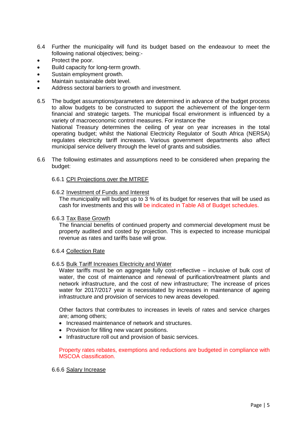- 6.4 Further the municipality will fund its budget based on the endeavour to meet the following national objectives; being:-
- Protect the poor.
- Build capacity for long-term growth.
- Sustain employment growth.
- Maintain sustainable debt level.
- Address sectoral barriers to growth and investment.
- 6.5 The budget assumptions/parameters are determined in advance of the budget process to allow budgets to be constructed to support the achievement of the longer-term financial and strategic targets. The municipal fiscal environment is influenced by a variety of macroeconomic control measures. For instance the National Treasury determines the ceiling of year on year increases in the total operating budget; whilst the National Electricity Regulator of South Africa (NERSA) regulates electricity tariff increases. Various government departments also affect municipal service delivery through the level of grants and subsidies.
- 6.6 The following estimates and assumptions need to be considered when preparing the budget:

#### 6.6.1 CPI Projections over the MTREF

#### 6.6.2 Investment of Funds and Interest

The municipality will budget up to 3 % of its budget for reserves that will be used as cash for investments and this will be indicated in Table A8 of Budget schedules.

#### 6.6.3 Tax Base Growth

The financial benefits of continued property and commercial development must be property audited and costed by projection. This is expected to increase municipal revenue as rates and tariffs base will grow.

#### 6.6.4 Collection Rate

6.6.5 Bulk Tariff Increases Electricity and Water

Water tariffs must be on aggregate fully cost-reflective – inclusive of bulk cost of water, the cost of maintenance and renewal of purification/treatment plants and network infrastructure, and the cost of new infrastructure; The increase of prices water for 2017/2017 year is necessitated by increases in maintenance of ageing infrastructure and provision of services to new areas developed.

Other factors that contributes to increases in levels of rates and service charges are; among others;

- Increased maintenance of network and structures.
- Provision for filling new vacant positions.
- Infrastructure roll out and provision of basic services.

#### Property rates rebates, exemptions and reductions are budgeted in compliance with MSCOA classification.

#### 6.6.6 Salary Increase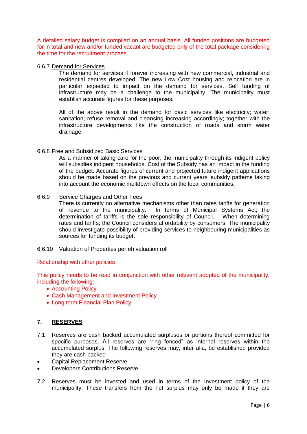A detailed salary budget is compiled on an annual basis. All funded positions are budgeted for in total and new and/or funded vacant are budgeted only of the total package considering the time for the recruitment process.

# 6.6.7 Demand for Services

The demand for services if forever increasing with new commercial, industrial and residential centres developed. The new Low Cost housing and relocation are in particular expected to impact on the demand for services. Self funding of infrastructure may be a challenge to the municipality. The municipality must establish accurate figures for these purposes.

All of the above result in the demand for basic services like electricity; water; sanitation; refuse removal and cleansing increasing accordingly; together with the infrastructure developments like the construction of roads and storm water drainage.

#### 6.6.8 Free and Subsidized Basic Services

As a manner of taking care for the poor; the municipality through its indigent policy will subsidies indigent households. Cost of the Subsidy has an impact in the funding of the budget. Accurate figures of current and projected future indigent applications should be made based on the previous and current years' subsidy patterns taking into account the economic meltdown effects on the local communities.

### 6.6.9 Service Charges and Other Fees

There is currently no alternative mechanisms other than rates tariffs for generation of revenue to the municipality. In terms of Municipal Systems Act; the determination of tariffs is the sole responsibility of Council. When determining rates and tariffs; the Council considers affordability by consumers. The municipality should investigate possibility of providing services to neighbouring municipalities as sources for funding its budget.

#### 6.6.10 Valuation of Properties per eh valuation roll

#### Relationship with other policies

This policy needs to be read in conjunction with other relevant adopted of the municipality, including the following:

- Accounting Policy
- Cash Management and Investment Policy
- Long term Financial Plan Policy

# **7. RESERVES**

- 7.1 Reserves are cash backed accumulated surpluses or portions thereof committed for specific purposes. All reserves are "ring fenced" as internal reserves within the accumulated surplus. The following reserves may, inter alia, be established provided they are cash backed
- Capital Replacement Reserve
- Developers Contributions Reserve
- 7.2. Reserves must be invested and used in terms of the Investment policy of the municipality. These transfers from the net surplus may only be made if they are